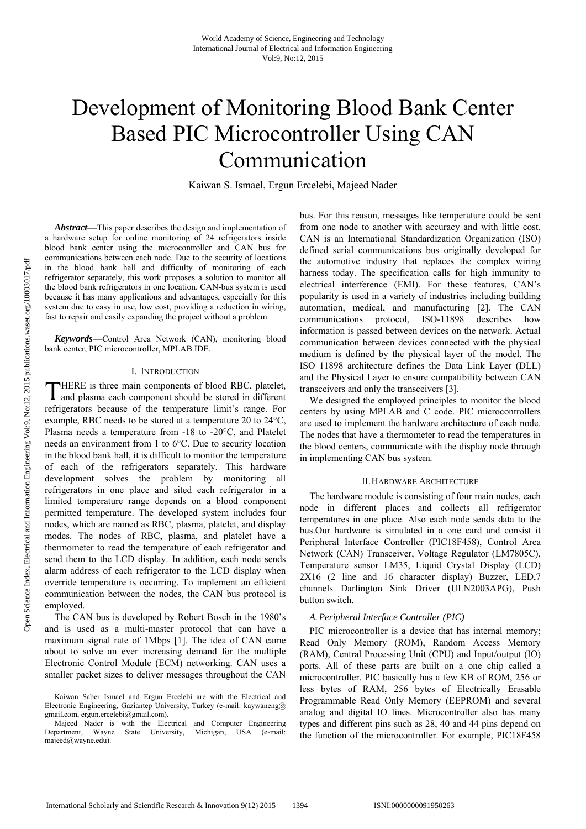# Development of Monitoring Blood Bank Center Based PIC Microcontroller Using CAN Communication

Kaiwan S. Ismael, Ergun Ercelebi, Majeed Nader

*Abstract***—**This paper describes the design and implementation of a hardware setup for online monitoring of 24 refrigerators inside blood bank center using the microcontroller and CAN bus for communications between each node. Due to the security of locations in the blood bank hall and difficulty of monitoring of each refrigerator separately, this work proposes a solution to monitor all the blood bank refrigerators in one location. CAN-bus system is used because it has many applications and advantages, especially for this system due to easy in use, low cost, providing a reduction in wiring, fast to repair and easily expanding the project without a problem.

*Keywords***—**Control Area Network (CAN), monitoring blood bank center, PIC microcontroller, MPLAB IDE.

## I. INTRODUCTION

HERE is three main components of blood RBC, platelet, THERE is three main components of blood RBC, platelet, and plasma each component should be stored in different refrigerators because of the temperature limit's range. For example, RBC needs to be stored at a temperature 20 to 24°C, Plasma needs a temperature from -18 to -20°C, and Platelet needs an environment from 1 to 6°C. Due to security location in the blood bank hall, it is difficult to monitor the temperature of each of the refrigerators separately. This hardware development solves the problem by monitoring all refrigerators in one place and sited each refrigerator in a limited temperature range depends on a blood component permitted temperature. The developed system includes four nodes, which are named as RBC, plasma, platelet, and display modes. The nodes of RBC, plasma, and platelet have a thermometer to read the temperature of each refrigerator and send them to the LCD display. In addition, each node sends alarm address of each refrigerator to the LCD display when override temperature is occurring. To implement an efficient communication between the nodes, the CAN bus protocol is employed.

The CAN bus is developed by Robert Bosch in the 1980's and is used as a multi-master protocol that can have a maximum signal rate of 1Mbps [1]. The idea of CAN came about to solve an ever increasing demand for the multiple Electronic Control Module (ECM) networking. CAN uses a smaller packet sizes to deliver messages throughout the CAN bus. For this reason, messages like temperature could be sent from one node to another with accuracy and with little cost. CAN is an International Standardization Organization (ISO) defined serial communications bus originally developed for the automotive industry that replaces the complex wiring harness today. The specification calls for high immunity to electrical interference (EMI). For these features, CAN's popularity is used in a variety of industries including building automation, medical, and manufacturing [2]. The CAN communications protocol, ISO-11898 describes how information is passed between devices on the network. Actual communication between devices connected with the physical medium is defined by the physical layer of the model. The ISO 11898 architecture defines the Data Link Layer (DLL) and the Physical Layer to ensure compatibility between CAN transceivers and only the transceivers [3].

We designed the employed principles to monitor the blood centers by using MPLAB and C code. PIC microcontrollers are used to implement the hardware architecture of each node. The nodes that have a thermometer to read the temperatures in the blood centers, communicate with the display node through in implementing CAN bus system.

#### II.HARDWARE ARCHITECTURE

The hardware module is consisting of four main nodes, each node in different places and collects all refrigerator temperatures in one place. Also each node sends data to the bus.Our hardware is simulated in a one card and consist it Peripheral Interface Controller (PIC18F458), Control Area Network (CAN) Transceiver, Voltage Regulator (LM7805C), Temperature sensor LM35, Liquid Crystal Display (LCD) 2X16 (2 line and 16 character display) Buzzer, LED,7 channels Darlington Sink Driver (ULN2003APG), Push button switch.

#### *A.Peripheral Interface Controller (PIC)*

PIC microcontroller is a device that has internal memory; Read Only Memory (ROM), Random Access Memory (RAM), Central Processing Unit (CPU) and Input/output (IO) ports. All of these parts are built on a one chip called a microcontroller. PIC basically has a few KB of ROM, 256 or less bytes of RAM, 256 bytes of Electrically Erasable Programmable Read Only Memory (EEPROM) and several analog and digital IO lines. Microcontroller also has many types and different pins such as 28, 40 and 44 pins depend on the function of the microcontroller. For example, PIC18F458

Kaiwan Saber Ismael and Ergun Ercelebi are with the Electrical and Electronic Engineering, Gaziantep University, Turkey (e-mail: kaywaneng@ gmail.com, ergun.ercelebi@gmail.com).

Majeed Nader is with the Electrical and Computer Engineering Department, Wayne State University, Michigan, USA (e-mail: majeed@wayne.edu).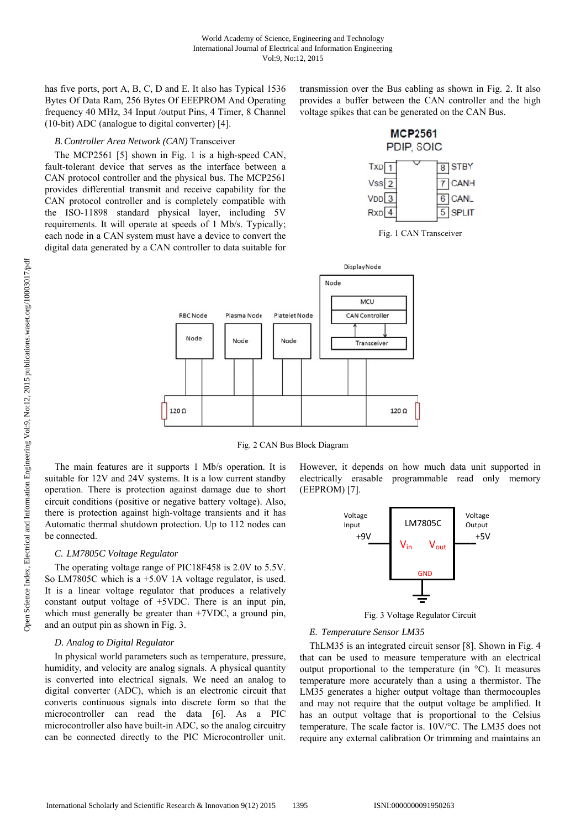has five ports, port A, B, C, D and E. It also has Typical 1536 Bytes Of Data Ram, 256 Bytes Of EEEPROM And Operating frequency 40 MHz, 34 Input /output Pins, 4 Timer, 8 Channel (10-bit) ADC (analogue to digital converter) [4].

## B. Controller Area Network (CAN) Transceiver

The MCP2561 [5] shown in Fig. 1 is a high-speed CAN, fault-tolerant device that serves as the interface between a CAN protocol controller and the physical bus. The MCP2561 provides differential transmit and receive capability for the CAN protocol controller and is completely compatible with the ISO-11898 standard physical layer, including 5V requirements. It will operate at speeds of 1 Mb/s. Typically; each node in a CAN system must have a device to convert the digital data generated by a CAN controller to data suitable for transmission over the Bus cabling as shown in Fig. 2. It also provides a buffer between the CAN controller and the high voltage spikes that can be generated on the CAN Bus.



|                  | - - - -     |
|------------------|-------------|
| $\sqrt{ss}$ 2    | <b>CANH</b> |
| $\sqrt{DD}$ 3    | 6 CANL      |
| $\left 4\right $ | 5 SPLIT     |





Fig. 2 CAN Bus Block Diagram

The main features are it supports 1 Mb/s operation. It is suitable for 12V and 24V systems. It is a low current standby operation. There is protection against damage due to short circuit conditions (positive or negative battery voltage). Also, there is protection against high-voltage transients and it has Automatic thermal shutdown protection. Up to 112 nodes can be connected.

# C. LM7805C Voltage Regulator

The operating voltage range of PIC18F458 is 2.0V to 5.5V. So LM7805C which is a  $+5.0V$  1A voltage regulator, is used. It is a linear voltage regulator that produces a relatively constant output voltage of  $+5$ VDC. There is an input pin, which must generally be greater than  $+7VDC$ , a ground pin. and an output pin as shown in Fig. 3.

## D. Analog to Digital Regulator

In physical world parameters such as temperature, pressure, humidity, and velocity are analog signals. A physical quantity is converted into electrical signals. We need an analog to digital converter (ADC), which is an electronic circuit that converts continuous signals into discrete form so that the microcontroller can read the data [6]. As a PIC microcontroller also have built-in ADC, so the analog circuitry can be connected directly to the PIC Microcontroller unit.

However, it depends on how much data unit supported in electrically erasable programmable read only memory (EEPROM) [7].



Fig. 3 Voltage Regulator Circuit

#### E. Temperature Sensor LM35

ThLM35 is an integrated circuit sensor [8]. Shown in Fig. 4 that can be used to measure temperature with an electrical output proportional to the temperature (in  $\degree$ C). It measures temperature more accurately than a using a thermistor. The LM35 generates a higher output voltage than thermocouples and may not require that the output voltage be amplified. It has an output voltage that is proportional to the Celsius temperature. The scale factor is. 10V/°C. The LM35 does not require any external calibration Or trimming and maintains an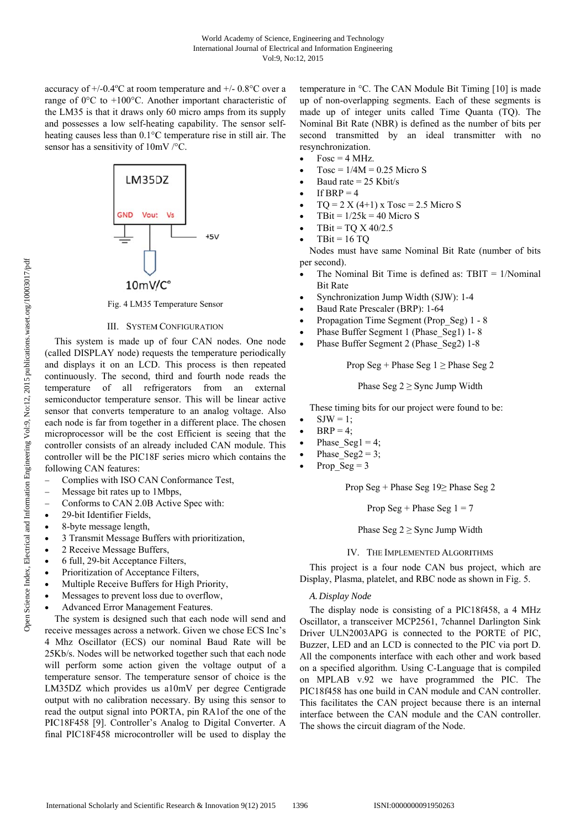accuracy of  $+/-0.4$ °C at room temperature and  $+/-0.8$ °C over a range of 0°C to +100°C. Another important characteristic of the LM35 is that it draws only 60 micro amps from its supply and possesses a low self-heating capability. The sensor selfheating causes less than 0.1°C temperature rise in still air. The sensor has a sensitivity of  $10mV$  /°C.



Fig. 4 LM35 Temperature Sensor

#### **III. SYSTEM CONFIGURATION**

This system is made up of four CAN nodes. One node (called DISPLAY node) requests the temperature periodically and displays it on an LCD. This process is then repeated continuously. The second, third and fourth node reads the temperature of all refrigerators from an external semiconductor temperature sensor. This will be linear active sensor that converts temperature to an analog voltage. Also each node is far from together in a different place. The chosen microprocessor will be the cost Efficient is seeing that the controller consists of an already included CAN module. This controller will be the PIC18F series micro which contains the following CAN features:

- Complies with ISO CAN Conformance Test,
- Message bit rates up to 1Mbps.
- Conforms to CAN 2.0B Active Spec with:
- 29-bit Identifier Fields.
- 8-byte message length,
- 3 Transmit Message Buffers with prioritization,
- 2 Receive Message Buffers,
- 6 full. 29-bit Acceptance Filters.
- Prioritization of Acceptance Filters,
- Multiple Receive Buffers for High Priority,
- Messages to prevent loss due to overflow,
- Advanced Error Management Features.

The system is designed such that each node will send and receive messages across a network. Given we chose ECS Inc's 4 Mhz Oscillator (ECS) our nominal Baud Rate will be 25Kb/s. Nodes will be networked together such that each node will perform some action given the voltage output of a temperature sensor. The temperature sensor of choice is the LM35DZ which provides us a10mV per degree Centigrade output with no calibration necessary. By using this sensor to read the output signal into PORTA, pin RA1of the one of the PIC18F458 [9]. Controller's Analog to Digital Converter. A final PIC18F458 microcontroller will be used to display the

temperature in °C. The CAN Module Bit Timing [10] is made up of non-overlapping segments. Each of these segments is made up of integer units called Time Quanta (TQ). The Nominal Bit Rate (NBR) is defined as the number of bits per second transmitted by an ideal transmitter with no resynchronization.

- $Fosc = 4 MHz$ .
- Tosc =  $1/4M$  = 0.25 Micro S
- Baud rate =  $25$  Kbit/s
- If BRP =  $4$
- $TO = 2 X (4+1) X Tosc = 2.5 Micro S$
- TBit =  $1/25k = 40$  Micro S
- $TBit = TQ X 40/2.5$
- $TBit = 16 TO$

Nodes must have same Nominal Bit Rate (number of bits per second).

- The Nominal Bit Time is defined as:  $TBIT = 1/N<sub>ominal</sub>$ **Bit Rate**
- Synchronization Jump Width (SJW): 1-4
- Baud Rate Prescaler (BRP): 1-64
- Propagation Time Segment (Prop Seg) 1 8
- Phase Buffer Segment 1 (Phase Seg1) 1-8
- Phase Buffer Segment 2 (Phase Seg2) 1-8

Prop Seg + Phase Seg  $1 \geq$  Phase Seg 2

Phase Seg  $2 \geq$  Sync Jump Width

These timing bits for our project were found to be:

- $SIW = 1$ :
- $BRP = 4$ ;
- Phase Seg1 = 4;
- Phase\_Seg2 = 3;
- Prop  $Seg = 3$

Prop Seg + Phase Seg  $19 \geq$  Phase Seg 2

Prop Seg + Phase Seg  $1 = 7$ 

Phase Seg  $2 \geq$  Sync Jump Width

#### IV. THE IMPLEMENTED ALGORITHMS

This project is a four node CAN bus project, which are Display, Plasma, platelet, and RBC node as shown in Fig. 5.

## A. Display Node

The display node is consisting of a PIC18f458, a 4 MHz Oscillator, a transceiver MCP2561, 7channel Darlington Sink Driver ULN2003APG is connected to the PORTE of PIC, Buzzer, LED and an LCD is connected to the PIC via port D. All the components interface with each other and work based on a specified algorithm. Using C-Language that is compiled on MPLAB v.92 we have programmed the PIC. The PIC18f458 has one build in CAN module and CAN controller. This facilitates the CAN project because there is an internal interface between the CAN module and the CAN controller. The shows the circuit diagram of the Node.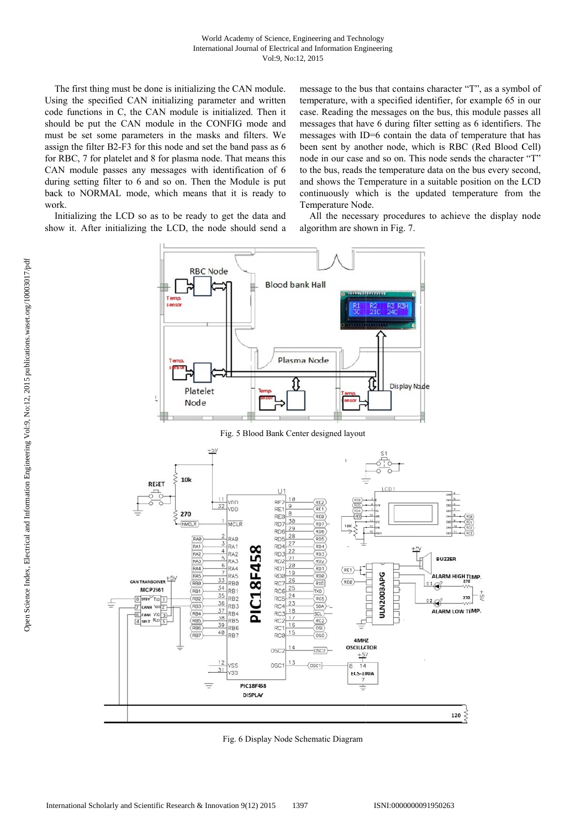The first thing must be done is initializing the CAN module. Using the specified CAN initializing parameter and written code functions in C, the CAN module is initialized. Then it should be put the CAN module in the CONFIG mode and must be set some parameters in the masks and filters. We assign the filter B2-F3 for this node and set the band pass as 6 for RBC, 7 for platelet and 8 for plasma node. That means this CAN module passes any messages with identification of 6 during setting filter to 6 and so on. Then the Module is put back to NORMAL mode, which means that it is ready to work.

Initializing the LCD so as to be ready to get the data and show it. After initializing the LCD, the node should send a message to the bus that contains character "T", as a symbol of temperature, with a specified identifier, for example 65 in our case. Reading the messages on the bus, this module passes all messages that have 6 during filter setting as 6 identifiers. The messages with ID=6 contain the data of temperature that has been sent by another node, which is RBC (Red Blood Cell) node in our case and so on. This node sends the character "T" to the bus, reads the temperature data on the bus every second, and shows the Temperature in a suitable position on the LCD continuously which is the updated temperature from the Temperature Node.

All the necessary procedures to achieve the display node algorithm are shown in Fig. 7.



Fig. 6 Display Node Schematic Diagram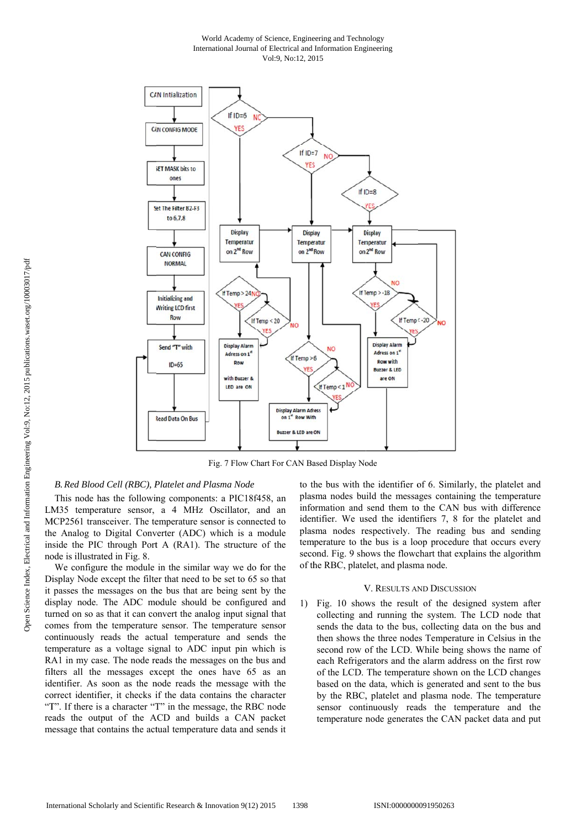#### World Academy of Science, Engineering and Technology International Journal of Electrical and Information Engineering Vol:9, No:12, 2015



Fig. 7 Flow Chart For CAN Based Display Node

# B. Red Blood Cell (RBC), Platelet and Plasma Node

This node has the following components: a PIC18f458, an LM35 temperature sensor, a 4 MHz Oscillator, and an MCP2561 transceiver. The temperature sensor is connected to the Analog to Digital Converter (ADC) which is a module inside the PIC through Port A (RA1). The structure of the node is illustrated in Fig. 8.

We configure the module in the similar way we do for the Display Node except the filter that need to be set to 65 so that it passes the messages on the bus that are being sent by the display node. The ADC module should be configured and turned on so as that it can convert the analog input signal that comes from the temperature sensor. The temperature sensor continuously reads the actual temperature and sends the temperature as a voltage signal to ADC input pin which is RA1 in my case. The node reads the messages on the bus and filters all the messages except the ones have 65 as an identifier. As soon as the node reads the message with the correct identifier, it checks if the data contains the character "T". If there is a character "T" in the message, the RBC node reads the output of the ACD and builds a CAN packet message that contains the actual temperature data and sends it to the bus with the identifier of 6. Similarly, the platelet and plasma nodes build the messages containing the temperature information and send them to the CAN bus with difference identifier. We used the identifiers 7, 8 for the platelet and plasma nodes respectively. The reading bus and sending temperature to the bus is a loop procedure that occurs every second. Fig. 9 shows the flowchart that explains the algorithm of the RBC, platelet, and plasma node.

# V. RESULTS AND DISCUSSION

1) Fig. 10 shows the result of the designed system after collecting and running the system. The LCD node that sends the data to the bus, collecting data on the bus and then shows the three nodes Temperature in Celsius in the second row of the LCD. While being shows the name of each Refrigerators and the alarm address on the first row of the LCD. The temperature shown on the LCD changes based on the data, which is generated and sent to the bus by the RBC, platelet and plasma node. The temperature sensor continuously reads the temperature and the temperature node generates the CAN packet data and put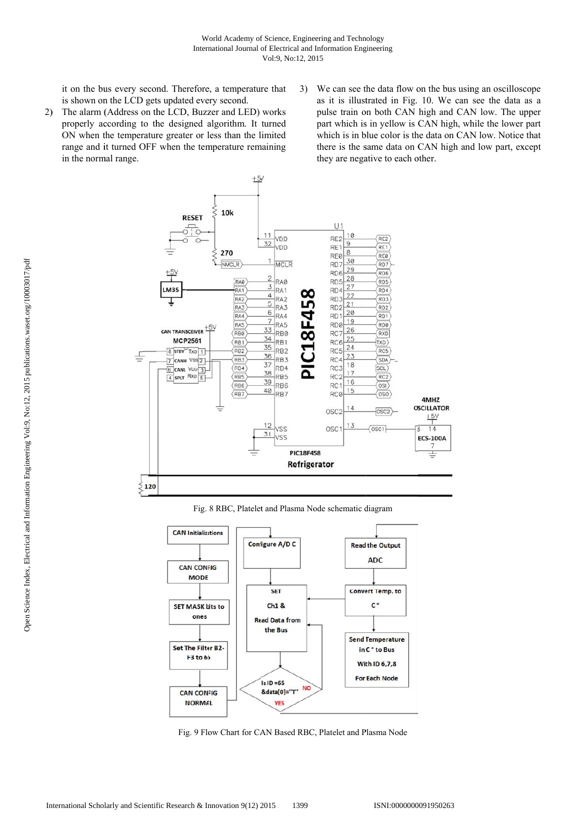$+5V$ 

it on the bus every second. Therefore, a temperature that is shown on the LCD gets updated every second.

- 2) The alarm (Address on the LCD, Buzzer and LED) works properly according to the designed algorithm. It turned ON when the temperature greater or less than the limited range and it turned OFF when the temperature remaining in the normal range.
- 3) We can see the data flow on the bus using an oscilloscope as it is illustrated in Fig. 10. We can see the data as a pulse train on both CAN high and CAN low. The upper part which is in yellow is CAN high, while the lower part which is in blue color is the data on CAN low. Notice that there is the same data on CAN high and low part, except they are negative to each other.



Fig. 8 RBC, Platelet and Plasma Node schematic diagram



Fig. 9 Flow Chart for CAN Based RBC, Platelet and Plasma Node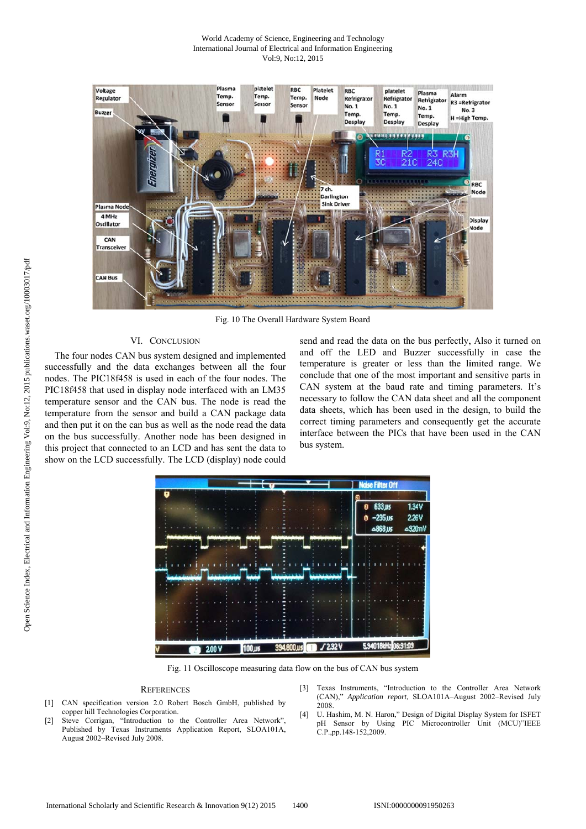#### World Academy of Science, Engineering and Technology International Journal of Electrical and Information Engineering Vol:9, No:12, 2015



Fig. 10 The Overall Hardware System Board

# VI. CONCLUSION

The four nodes CAN bus system designed and implemented successfully and the data exchanges between all the four nodes. The PIC18f458 is used in each of the four nodes. The PIC18f458 that used in display node interfaced with an LM35 temperature sensor and the CAN bus. The node is read the temperature from the sensor and build a CAN package data and then put it on the can bus as well as the node read the data on the bus successfully. Another node has been designed in this project that connected to an LCD and has sent the data to show on the LCD successfully. The LCD (display) node could

send and read the data on the bus perfectly, Also it turned on and off the LED and Buzzer successfully in case the temperature is greater or less than the limited range. We conclude that one of the most important and sensitive parts in CAN system at the baud rate and timing parameters. It's necessary to follow the CAN data sheet and all the component data sheets, which has been used in the design, to build the correct timing parameters and consequently get the accurate interface between the PICs that have been used in the CAN bus system.



Fig. 11 Oscilloscope measuring data flow on the bus of CAN bus system

#### **REFERENCES**

- [1] CAN specification version 2.0 Robert Bosch GmbH, published by copper hill Technologies Corporation.
- Steve Corrigan, "Introduction to the Controller Area Network",  $[2]$ Published by Texas Instruments Application Report, SLOA101A, August 2002-Revised July 2008.
- Texas Instruments, "Introduction to the Controller Area Network  $[3]$ (CAN)," Application report, SLOA101A-August 2002-Revised July 2008
- U. Hashim, M. N. Haron," Design of Digital Display System for ISFET pH Sensor by Using PIC Microcontroller Unit (MCU)"IEEE  $[4]$ C.P., pp. 148-152, 2009.